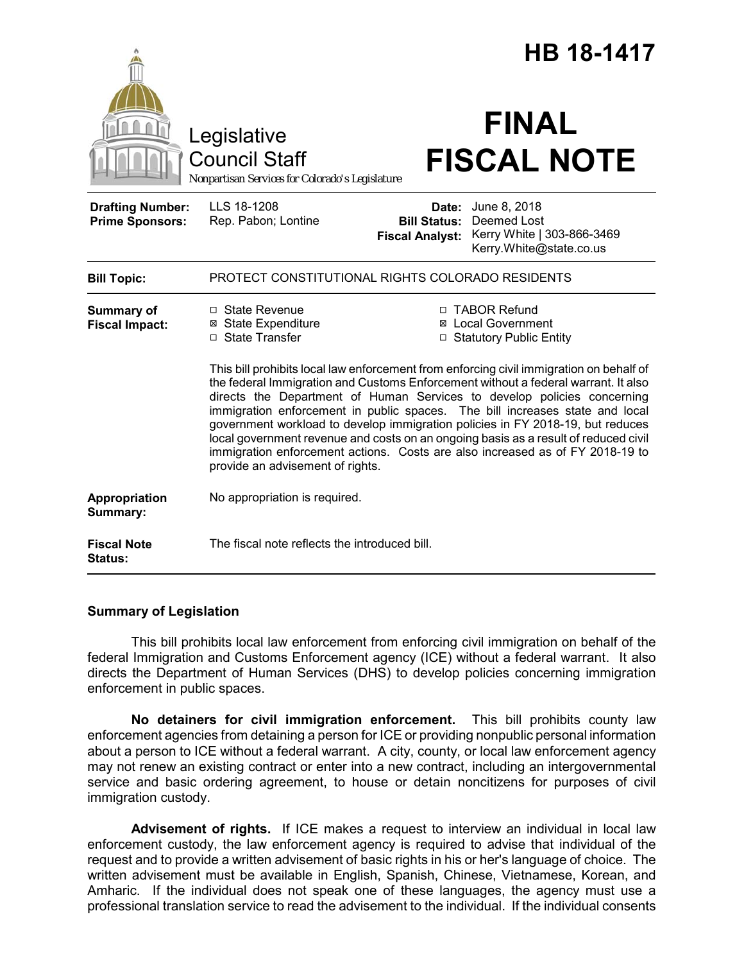|                                                   |                                                                                                                                                                                                                                                                                                                                                                                                                                                                                    |                                               | <b>HB 18-1417</b>                                                                                 |  |
|---------------------------------------------------|------------------------------------------------------------------------------------------------------------------------------------------------------------------------------------------------------------------------------------------------------------------------------------------------------------------------------------------------------------------------------------------------------------------------------------------------------------------------------------|-----------------------------------------------|---------------------------------------------------------------------------------------------------|--|
|                                                   | Legislative<br><b>Council Staff</b><br>Nonpartisan Services for Colorado's Legislature                                                                                                                                                                                                                                                                                                                                                                                             |                                               | <b>FINAL</b><br><b>FISCAL NOTE</b>                                                                |  |
| <b>Drafting Number:</b><br><b>Prime Sponsors:</b> | LLS 18-1208<br>Rep. Pabon; Lontine                                                                                                                                                                                                                                                                                                                                                                                                                                                 | <b>Bill Status:</b><br><b>Fiscal Analyst:</b> | <b>Date:</b> June 8, 2018<br>Deemed Lost<br>Kerry White   303-866-3469<br>Kerry.White@state.co.us |  |
| <b>Bill Topic:</b>                                | PROTECT CONSTITUTIONAL RIGHTS COLORADO RESIDENTS                                                                                                                                                                                                                                                                                                                                                                                                                                   |                                               |                                                                                                   |  |
| <b>Summary of</b><br><b>Fiscal Impact:</b>        | □ State Revenue<br>□ TABOR Refund<br>⊠ State Expenditure<br><b>⊠</b> Local Government<br>□ State Transfer<br>□ Statutory Public Entity<br>This bill prohibits local law enforcement from enforcing civil immigration on behalf of<br>the federal Immigration and Customs Enforcement without a federal warrant. It also<br>directs the Department of Human Services to develop policies concerning<br>immigration enforcement in public spaces. The bill increases state and local |                                               |                                                                                                   |  |
|                                                   | government workload to develop immigration policies in FY 2018-19, but reduces<br>local government revenue and costs on an ongoing basis as a result of reduced civil<br>immigration enforcement actions. Costs are also increased as of FY 2018-19 to<br>provide an advisement of rights.                                                                                                                                                                                         |                                               |                                                                                                   |  |
| Appropriation<br>Summary:                         | No appropriation is required.                                                                                                                                                                                                                                                                                                                                                                                                                                                      |                                               |                                                                                                   |  |
| <b>Fiscal Note</b><br><b>Status:</b>              | The fiscal note reflects the introduced bill.                                                                                                                                                                                                                                                                                                                                                                                                                                      |                                               |                                                                                                   |  |

# **Summary of Legislation**

This bill prohibits local law enforcement from enforcing civil immigration on behalf of the federal Immigration and Customs Enforcement agency (ICE) without a federal warrant. It also directs the Department of Human Services (DHS) to develop policies concerning immigration enforcement in public spaces.

**No detainers for civil immigration enforcement.** This bill prohibits county law enforcement agencies from detaining a person for ICE or providing nonpublic personal information about a person to ICE without a federal warrant. A city, county, or local law enforcement agency may not renew an existing contract or enter into a new contract, including an intergovernmental service and basic ordering agreement, to house or detain noncitizens for purposes of civil immigration custody.

**Advisement of rights.** If ICE makes a request to interview an individual in local law enforcement custody, the law enforcement agency is required to advise that individual of the request and to provide a written advisement of basic rights in his or her's language of choice. The written advisement must be available in English, Spanish, Chinese, Vietnamese, Korean, and Amharic. If the individual does not speak one of these languages, the agency must use a professional translation service to read the advisement to the individual. If the individual consents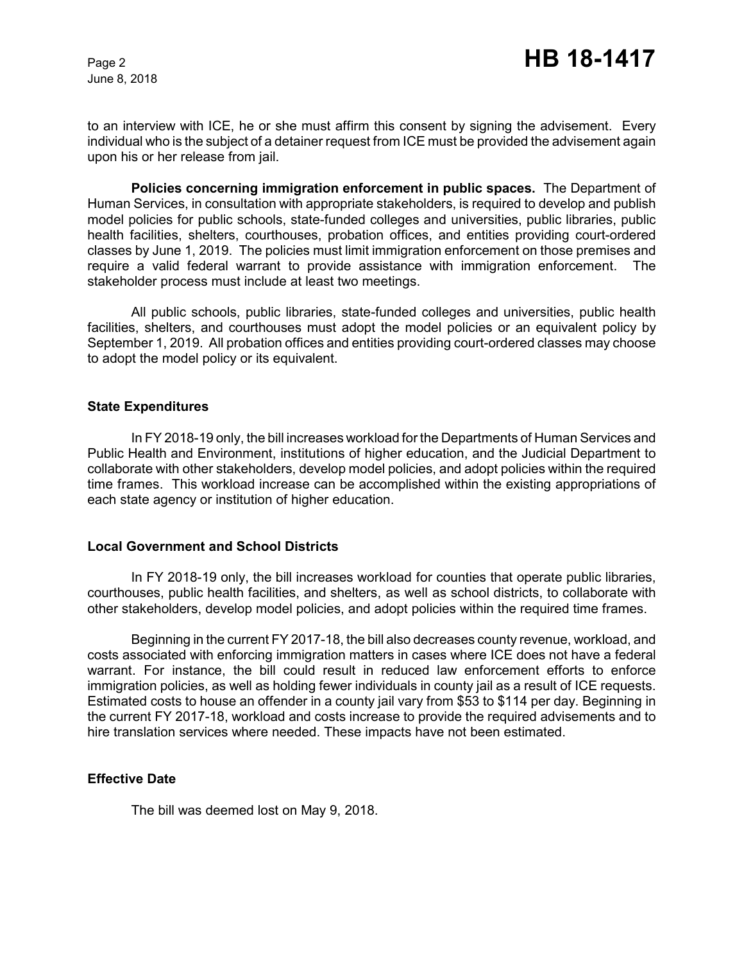June 8, 2018

to an interview with ICE, he or she must affirm this consent by signing the advisement. Every individual who is the subject of a detainer request from ICE must be provided the advisement again upon his or her release from jail.

**Policies concerning immigration enforcement in public spaces.** The Department of Human Services, in consultation with appropriate stakeholders, is required to develop and publish model policies for public schools, state-funded colleges and universities, public libraries, public health facilities, shelters, courthouses, probation offices, and entities providing court-ordered classes by June 1, 2019. The policies must limit immigration enforcement on those premises and require a valid federal warrant to provide assistance with immigration enforcement. The stakeholder process must include at least two meetings.

All public schools, public libraries, state-funded colleges and universities, public health facilities, shelters, and courthouses must adopt the model policies or an equivalent policy by September 1, 2019. All probation offices and entities providing court-ordered classes may choose to adopt the model policy or its equivalent.

#### **State Expenditures**

In FY 2018-19 only, the bill increases workload for the Departments of Human Services and Public Health and Environment, institutions of higher education, and the Judicial Department to collaborate with other stakeholders, develop model policies, and adopt policies within the required time frames. This workload increase can be accomplished within the existing appropriations of each state agency or institution of higher education.

### **Local Government and School Districts**

In FY 2018-19 only, the bill increases workload for counties that operate public libraries, courthouses, public health facilities, and shelters, as well as school districts, to collaborate with other stakeholders, develop model policies, and adopt policies within the required time frames.

Beginning in the current FY 2017-18, the bill also decreases county revenue, workload, and costs associated with enforcing immigration matters in cases where ICE does not have a federal warrant. For instance, the bill could result in reduced law enforcement efforts to enforce immigration policies, as well as holding fewer individuals in county jail as a result of ICE requests. Estimated costs to house an offender in a county jail vary from \$53 to \$114 per day. Beginning in the current FY 2017-18, workload and costs increase to provide the required advisements and to hire translation services where needed. These impacts have not been estimated.

### **Effective Date**

The bill was deemed lost on May 9, 2018.